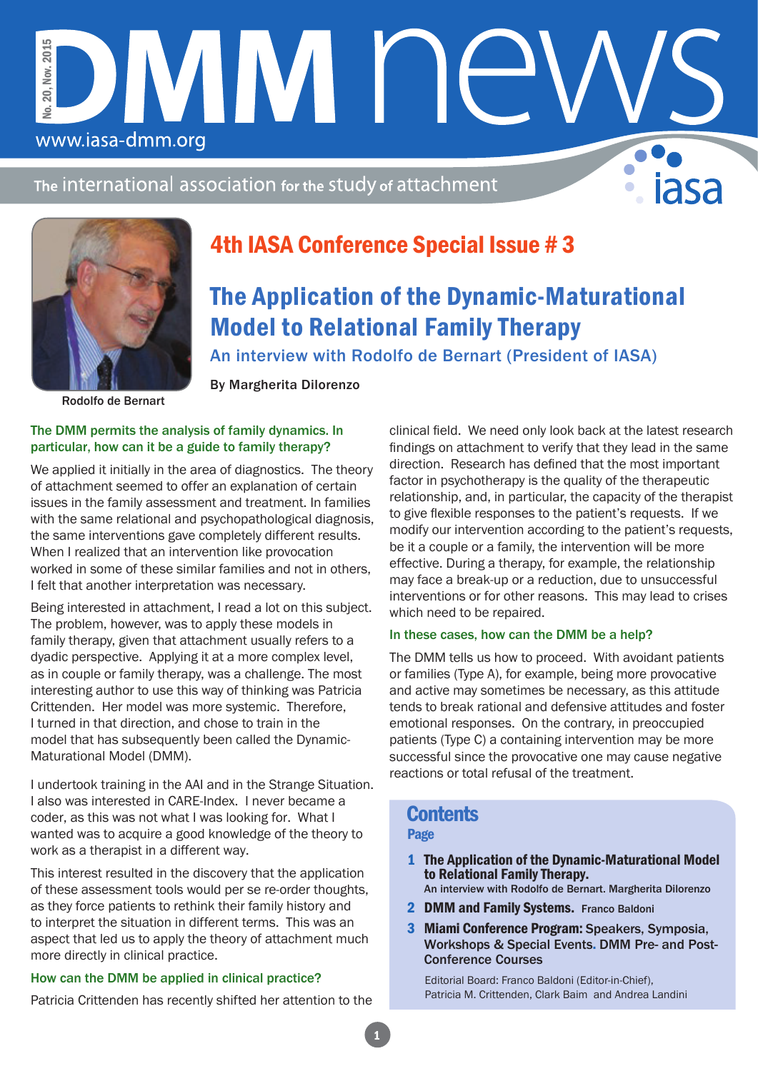The international association for the study of attachment

DMM NE

By Margherita Dilorenzo



www.iasa-dmm.org

No. 20, Nov. 2015

 $20.1$ έé.

Nov. 2015

# 4th IASA Conference Special Issue # 3

# The Application of the Dynamic-Maturational Model to Relational Family Therapy

An interview with Rodolfo de Bernart (President of IASA)

Rodolfo de Bernart

#### The DMM permits the analysis of family dynamics. In particular, how can it be a guide to family therapy?

We applied it initially in the area of diagnostics. The theory of attachment seemed to offer an explanation of certain issues in the family assessment and treatment. In families with the same relational and psychopathological diagnosis, the same interventions gave completely different results. When I realized that an intervention like provocation worked in some of these similar families and not in others, I felt that another interpretation was necessary.

Being interested in attachment, I read a lot on this subject. The problem, however, was to apply these models in family therapy, given that attachment usually refers to a dyadic perspective. Applying it at a more complex level, as in couple or family therapy, was a challenge. The most interesting author to use this way of thinking was Patricia Crittenden. Her model was more systemic. Therefore, I turned in that direction, and chose to train in the model that has subsequently been called the Dynamic-Maturational Model (DMM).

I undertook training in the AAI and in the Strange Situation. I also was interested in CARE-Index. I never became a coder, as this was not what I was looking for. What I wanted was to acquire a good knowledge of the theory to work as a therapist in a different way.

This interest resulted in the discovery that the application of these assessment tools would per se re-order thoughts, as they force patients to rethink their family history and to interpret the situation in different terms. This was an aspect that led us to apply the theory of attachment much more directly in clinical practice.

### How can the DMM be applied in clinical practice?

Patricia Crittenden has recently shifted her attention to the

clinical field. We need only look back at the latest research findings on attachment to verify that they lead in the same direction. Research has defined that the most important factor in psychotherapy is the quality of the therapeutic relationship, and, in particular, the capacity of the therapist to give flexible responses to the patient's requests. If we modify our intervention according to the patient's requests, be it a couple or a family, the intervention will be more effective. During a therapy, for example, the relationship may face a break-up or a reduction, due to unsuccessful interventions or for other reasons. This may lead to crises which need to be repaired.

### In these cases, how can the DMM be a help?

The DMM tells us how to proceed. With avoidant patients or families (Type A), for example, being more provocative and active may sometimes be necessary, as this attitude tends to break rational and defensive attitudes and foster emotional responses. On the contrary, in preoccupied patients (Type C) a containing intervention may be more successful since the provocative one may cause negative reactions or total refusal of the treatment.

## **Contents**

### Page

- 1 The Application of the Dynamic-Maturational Model to Relational Family Therapy.
	- An interview with Rodolfo de Bernart. Margherita Dilorenzo
- 2 DMM and Family Systems. Franco Baldoni
- 3 Miami Conference Program: Speakers, Symposia, Workshops & Special Events. DMM Pre- and Post-Conference Courses

Editorial Board: Franco Baldoni (Editor-in-Chief), Patricia M. Crittenden, Clark Baim and Andrea Landini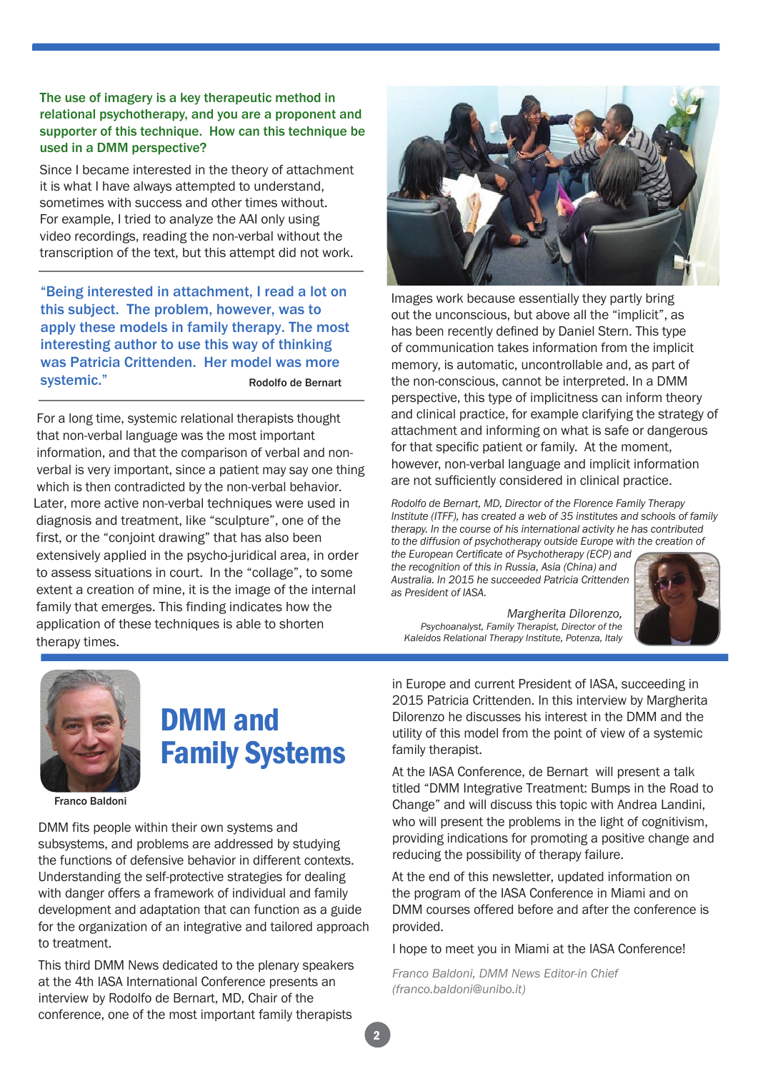#### The use of imagery is a key therapeutic method in relational psychotherapy, and you are a proponent and supporter of this technique. How can this technique be used in a DMM perspective?

Since I became interested in the theory of attachment it is what I have always attempted to understand, sometimes with success and other times without. For example, I tried to analyze the AAI only using video recordings, reading the non-verbal without the transcription of the text, but this attempt did not work.

"Being interested in attachment, I read a lot on this subject. The problem, however, was to apply these models in family therapy. The most interesting author to use this way of thinking was Patricia Crittenden. Her model was more systemic." Rodolfo de Bernart

For a long time, systemic relational therapists thought that non-verbal language was the most important information, and that the comparison of verbal and nonverbal is very important, since a patient may say one thing which is then contradicted by the non-verbal behavior. Later, more active non-verbal techniques were used in diagnosis and treatment, like "sculpture", one of the first, or the "conjoint drawing" that has also been extensively applied in the psycho-juridical area, in order to assess situations in court. In the "collage", to some extent a creation of mine, it is the image of the internal family that emerges. This finding indicates how the application of these techniques is able to shorten therapy times.



Images work because essentially they partly bring out the unconscious, but above all the "implicit", as has been recently defined by Daniel Stern. This type of communication takes information from the implicit memory, is automatic, uncontrollable and, as part of the non-conscious, cannot be interpreted. In a DMM perspective, this type of implicitness can inform theory and clinical practice, for example clarifying the strategy of attachment and informing on what is safe or dangerous for that specific patient or family. At the moment, however, non-verbal language and implicit information are not sufficiently considered in clinical practice.

*Rodolfo de Bernart, MD, Director of the Florence Family Therapy Institute (ITFF), has created a web of 35 institutes and schools of family therapy. In the course of his international activity he has contributed to the diffusion of psychotherapy outside Europe with the creation of the European Certificate of Psychotherapy (ECP) and*

*the recognition of this in Russia, Asia (China) and Australia. In 2015 he succeeded Patricia Crittenden as President of IASA.*

*Margherita Dilorenzo, Psychoanalyst, Family Therapist, Director of the Kaleidos Relational Therapy Institute, Potenza, Italy*





# DMM and Family Systems

Franco Baldoni

DMM fits people within their own systems and subsystems, and problems are addressed by studying the functions of defensive behavior in different contexts. Understanding the self-protective strategies for dealing with danger offers a framework of individual and family development and adaptation that can function as a guide for the organization of an integrative and tailored approach to treatment.

This third DMM News dedicated to the plenary speakers at the 4th IASA International Conference presents an interview by Rodolfo de Bernart, MD, Chair of the conference, one of the most important family therapists

in Europe and current President of IASA, succeeding in 2015 Patricia Crittenden. In this interview by Margherita Dilorenzo he discusses his interest in the DMM and the utility of this model from the point of view of a systemic family therapist.

At the IASA Conference, de Bernart will present a talk titled "DMM Integrative Treatment: Bumps in the Road to Change" and will discuss this topic with Andrea Landini, who will present the problems in the light of cognitivism, providing indications for promoting a positive change and reducing the possibility of therapy failure.

At the end of this newsletter, updated information on the program of the IASA Conference in Miami and on DMM courses offered before and after the conference is provided.

I hope to meet you in Miami at the IASA Conference!

*Franco Baldoni, DMM News Editor-in Chief (franco.baldoni@unibo.it)*